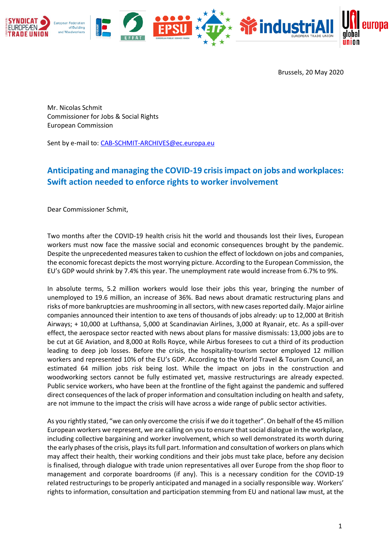

Brussels, 20 May 2020

Mr. Nicolas Schmit Commissioner for Jobs & Social Rights European Commission

Sent by e-mail to: [CAB-SCHMIT-ARCHIVES@ec.europa.eu](mailto:CAB-SCHMIT-ARCHIVES@ec.europa.eu)

## **Anticipating and managing the COVID-19 crisis impact on jobs and workplaces: Swift action needed to enforce rights to worker involvement**

Dear Commissioner Schmit,

Two months after the COVID-19 health crisis hit the world and thousands lost their lives, European workers must now face the massive social and economic consequences brought by the pandemic. Despite the unprecedented measures taken to cushion the effect of lockdown on jobs and companies, the economic forecast depicts the most worrying picture. According to the European Commission, the EU's GDP would shrink by 7.4% this year. The unemployment rate would increase from 6.7% to 9%.

In absolute terms, 5.2 million workers would lose their jobs this year, bringing the number of unemployed to 19.6 million, an increase of 36%. Bad news about dramatic restructuring plans and risks of more bankruptcies are mushrooming in all sectors, with new cases reported daily. Major airline companies announced their intention to axe tens of thousands of jobs already: up to 12,000 at British Airways; + 10,000 at Lufthansa, 5,000 at Scandinavian Airlines, 3,000 at Ryanair, etc. As a spill-over effect, the aerospace sector reacted with news about plans for massive dismissals: 13,000 jobs are to be cut at GE Aviation, and 8,000 at Rolls Royce, while Airbus foresees to cut a third of its production leading to deep job losses. Before the crisis, the hospitality-tourism sector employed 12 million workers and represented 10% of the EU's GDP. According to the World Travel & Tourism Council, an estimated 64 million jobs risk being lost. While the impact on jobs in the construction and woodworking sectors cannot be fully estimated yet, massive restructurings are already expected. Public service workers, who have been at the frontline of the fight against the pandemic and suffered direct consequences of the lack of proper information and consultation including on health and safety, are not immune to the impact the crisis will have across a wide range of public sector activities.

As you rightly stated, "we can only overcome the crisis if we do it together". On behalf of the 45 million European workers we represent, we are calling on you to ensure that social dialogue in the workplace, including collective bargaining and worker involvement, which so well demonstrated its worth during the early phases of the crisis, plays its full part. Information and consultation of workers on plans which may affect their health, their working conditions and their jobs must take place, before any decision is finalised, through dialogue with trade union representatives all over Europe from the shop floor to management and corporate boardrooms (if any). This is a necessary condition for the COVID-19 related restructurings to be properly anticipated and managed in a socially responsible way. Workers' rights to information, consultation and participation stemming from EU and national law must, at the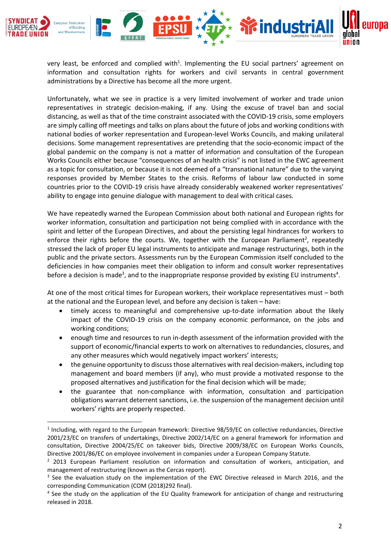

very least, be enforced and complied with<sup>1</sup>. Implementing the EU social partners' agreement on information and consultation rights for workers and civil servants in central government administrations by a Directive has become all the more urgent.

Unfortunately, what we see in practice is a very limited involvement of worker and trade union representatives in strategic decision-making, if any. Using the excuse of travel ban and social distancing, as well as that of the time constraint associated with the COVID-19 crisis, some employers are simply calling off meetings and talks on plans about the future of jobs and working conditions with national bodies of worker representation and European-level Works Councils, and making unilateral decisions. Some management representatives are pretending that the socio-economic impact of the global pandemic on the company is not a matter of information and consultation of the European Works Councils either because "consequences of an health crisis" is not listed in the EWC agreement as a topic for consultation, or because it is not deemed of a "transnational nature" due to the varying responses provided by Member States to the crisis. Reforms of labour law conducted in some countries prior to the COVID-19 crisis have already considerably weakened worker representatives' ability to engage into genuine dialogue with management to deal with critical cases.

We have repeatedly warned the European Commission about both national and European rights for worker information, consultation and participation not being complied with in accordance with the spirit and letter of the European Directives, and about the persisting legal hindrances for workers to enforce their rights before the courts. We, together with the European Parliament<sup>2</sup>, repeatedly stressed the lack of proper EU legal instruments to anticipate and manage restructurings, both in the public and the private sectors. Assessments run by the European Commission itself concluded to the deficiencies in how companies meet their obligation to inform and consult worker representatives before a decision is made<sup>3</sup>, and to the inappropriate response provided by existing EU instruments<sup>4</sup>.

At one of the most critical times for European workers, their workplace representatives must – both at the national and the European level, and before any decision is taken – have:

- timely access to meaningful and comprehensive up-to-date information about the likely impact of the COVID-19 crisis on the company economic performance, on the jobs and working conditions;
- enough time and resources to run in-depth assessment of the information provided with the support of economic/financial experts to work on alternatives to redundancies, closures, and any other measures which would negatively impact workers' interests;
- the genuine opportunity to discuss those alternatives with real decision-makers, including top management and board members (if any), who must provide a motivated response to the proposed alternatives and justification for the final decision which will be made;
- the guarantee that non-compliance with information, consultation and participation obligations warrant deterrent sanctions, i.e. the suspension of the management decision until workers' rights are properly respected.

<sup>1</sup> Including, with regard to the European framework: Directive 98/59/EC on collective redundancies, Directive 2001/23/EC on transfers of undertakings, Directive 2002/14/EC on a general framework for information and consultation, Directive 2004/25/EC on takeover bids, Directive 2009/38/EC on European Works Councils, Directive 2001/86/EC on employee involvement in companies under a European Company Statute.

 $2$  2013 European Parliament resolution on information and consultation of workers, anticipation, and management of restructuring (known as the Cercas report).

<sup>&</sup>lt;sup>3</sup> See the evaluation study on the implementation of the EWC Directive released in March 2016, and the corresponding Communication (COM (2018)292 final).

<sup>&</sup>lt;sup>4</sup> See the study on the application of the EU Quality framework for anticipation of change and restructuring released in 2018.